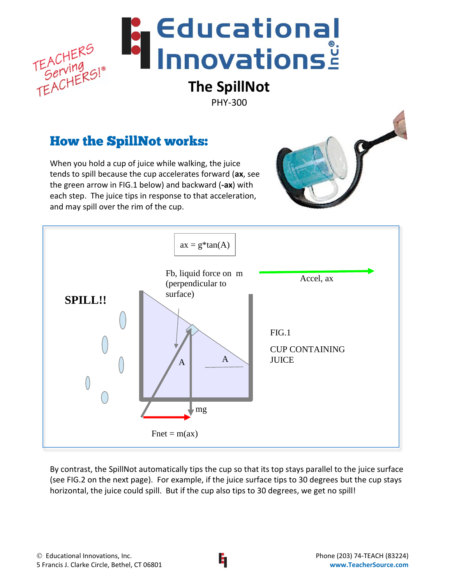

## How the SpillNot works:

When you hold a cup of juice while walking, the juice tends to spill because the cup accelerates forward (**ax**, see



By contrast, the SpillNot automatically tips the cup so that its top stays parallel to the juice surface (see FIG.2 on the next page). For example, if the juice surface tips to 30 degrees but the cup stays horizontal, the juice could spill. But if the cup also tips to 30 degrees, we get no spill!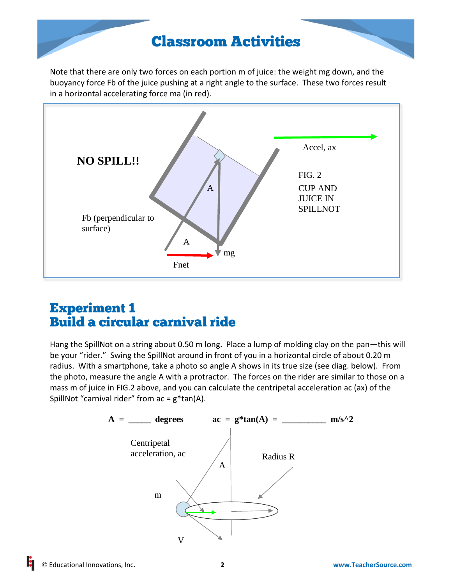# Classroom Activities

Note that there are only two forces on each portion m of juice: the weight mg down, and the buoyancy force Fb of the juice pushing at a right angle to the surface. These two forces result in a horizontal accelerating force ma (in red).



## Experiment 1 Build a circular carnival ride

Hang the SpillNot on a string about 0.50 m long. Place a lump of molding clay on the pan—this will be your "rider." Swing the SpillNot around in front of you in a horizontal circle of about 0.20 m radius. With a smartphone, take a photo so angle A shows in its true size (see diag. below). From the photo, measure the angle A with a protractor. The forces on the rider are similar to those on a mass m of juice in FIG.2 above, and you can calculate the centripetal acceleration ac (ax) of the SpillNot "carnival rider" from  $ac = g*tan(A)$ .

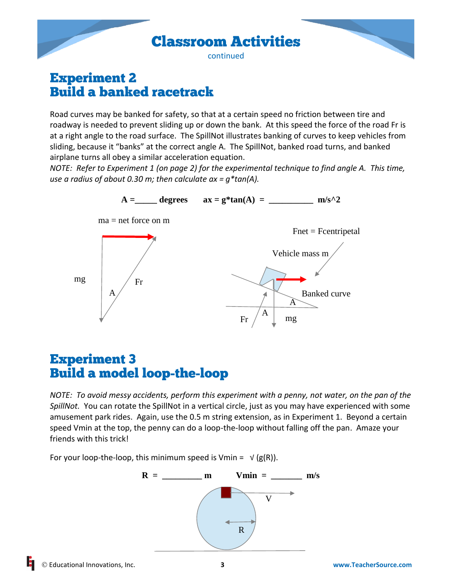

### Experiment 2 Build a banked racetrack

Road curves may be banked for safety, so that at a certain speed no friction between tire and roadway is needed to prevent sliding up or down the bank. At this speed the force of the road Fr is at a right angle to the road surface. The SpillNot illustrates banking of curves to keep vehicles from sliding, because it "banks" at the correct angle A. The SpillNot, banked road turns, and banked airplane turns all obey a similar acceleration equation.

*NOTE: Refer to Experiment 1 (on page 2) for the experimental technique to find angle A. This time, use a radius of about 0.30 m; then calculate ax = g\*tan(A).*



### Experiment 3 Build a model loop-the-loop

*NOTE: To avoid messy accidents, perform this experiment with a penny, not water, on the pan of the SpillNot.* You can rotate the SpillNot in a vertical circle, just as you may have experienced with some amusement park rides. Again, use the 0.5 m string extension, as in Experiment 1. Beyond a certain speed Vmin at the top, the penny can do a loop-the-loop without falling off the pan. Amaze your friends with this trick!

For your loop-the-loop, this minimum speed is Vmin =  $\sqrt{(g(R))}$ .

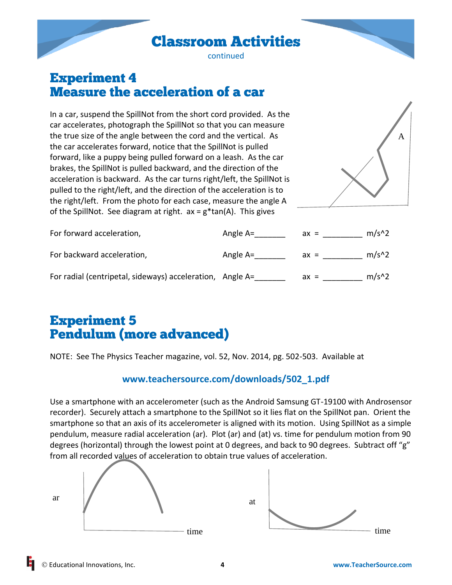Classroom Activities

continued

### Experiment 4 Measure the acceleration of a car

In a car, suspend the SpillNot from the short cord provided. As the car accelerates, photograph the SpillNot so that you can measure the true size of the angle between the cord and the vertical. As the car accelerates forward, notice that the SpillNot is pulled forward, like a puppy being pulled forward on a leash. As the car brakes, the SpillNot is pulled backward, and the direction of the acceleration is backward. As the car turns right/left, the SpillNot is pulled to the right/left, and the direction of the acceleration is to the right/left. From the photo for each case, measure the angle A of the SpillNot. See diagram at right.  $ax = g^*tan(A)$ . This gives



| For forward acceleration,                                 | Angle A= | $ax =$ | $m/s^2$ |
|-----------------------------------------------------------|----------|--------|---------|
| For backward acceleration,                                | Angle A= | $ax =$ | $m/s^2$ |
| For radial (centripetal, sideways) acceleration, Angle A= |          | $ax =$ | $m/s^2$ |

# Experiment 5 Pendulum (more advanced)

NOTE: See The Physics Teacher magazine, vol. 52, Nov. 2014, pg. 502-503. Available at

#### **[www.teachersource.com/downloads/502\\_1.pdf](http://www.teachersource.com/downloads/502_1.pdf)**

Use a smartphone with an accelerometer (such as the Android Samsung GT-19100 with Androsensor recorder). Securely attach a smartphone to the SpillNot so it lies flat on the SpillNot pan. Orient the smartphone so that an axis of its accelerometer is aligned with its motion. Using SpillNot as a simple pendulum, measure radial acceleration (ar). Plot (ar) and (at) vs. time for pendulum motion from 90 degrees (horizontal) through the lowest point at 0 degrees, and back to 90 degrees. Subtract off "g" from all recorded values of acceleration to obtain true values of acceleration.